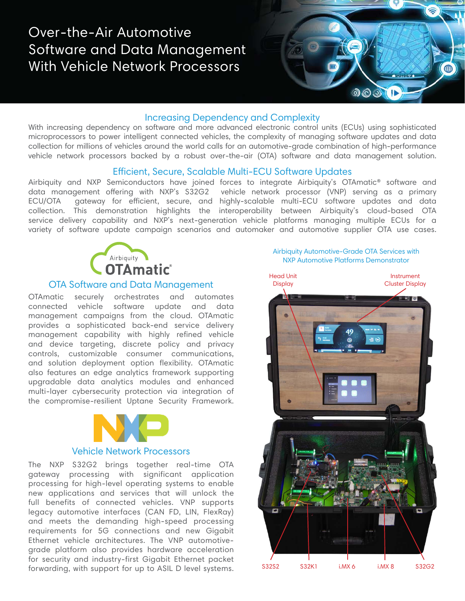# Over-the-Air Automotive Software and Data Management With Vehicle Network Processors



## Increasing Dependency and Complexity

With increasing dependency on software and more advanced electronic control units (ECUs) using sophisticated microprocessors to power intelligent connected vehicles, the complexity of managing software updates and data collection for millions of vehicles around the world calls for an automotive-grade combination of high-performance vehicle network processors backed by a robust over-the-air (OTA) software and data management solution.

#### Efficient, Secure, Scalable Multi-ECU Software Updates

Airbiquity and NXP Semiconductors have joined forces to integrate Airbiquity's OTAmatic® software and data management offering with NXP's S32G2 vehicle network processor (VNP) serving as a primary ECU/OTA gateway for efficient, secure, and highly-scalable multi-ECU software updates and data collection. This demonstration highlights the interoperability between Airbiquity's cloud-based OTA service delivery capability and NXP's next-generation vehicle platforms managing multiple ECUs for a variety of software update campaign scenarios and automaker and automotive supplier OTA use cases.



#### OTA Software and Data Management

OTAmatic securely orchestrates and automates connected vehicle software update and data management campaigns from the cloud. OTAmatic provides a sophisticated back-end service delivery management capability with highly refined vehicle and device targeting, discrete policy and privacy controls, customizable consumer communications, and solution deployment option flexibility. OTAmatic also features an edge analytics framework supporting upgradable data analytics modules and enhanced multi-layer cybersecurity protection via integration of the compromise-resilient Uptane Security Framework.



## Vehicle Network Processors

The NXP S32G2 brings together real-time OTA gateway processing with significant application processing for high-level operating systems to enable new applications and services that will unlock the full benefits of connected vehicles. VNP supports legacy automotive interfaces (CAN FD, LIN, FlexRay) and meets the demanding high-speed processing requirements for 5G connections and new Gigabit Ethernet vehicle architectures. The VNP automotivegrade platform also provides hardware acceleration for security and industry-first Gigabit Ethernet packet forwarding, with support for up to ASIL D level systems. Airbiquity Automotive-Grade OTA Services with NXP Automotive Platforms Demonstrator